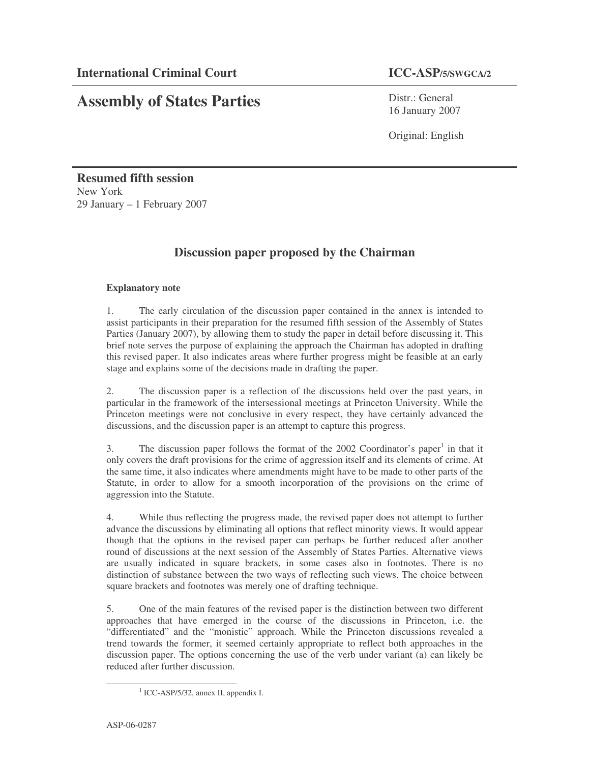# **Assembly of States Parties**

Distr.: General 16 January 2007

Original: English

**Resumed fifth session** New York 29 January – 1 February 2007

# **Discussion paper proposed by the Chairman**

### **Explanatory note**

1. The early circulation of the discussion paper contained in the annex is intended to assist participants in their preparation for the resumed fifth session of the Assembly of States Parties (January 2007), by allowing them to study the paper in detail before discussing it. This brief note serves the purpose of explaining the approach the Chairman has adopted in drafting this revised paper. It also indicates areas where further progress might be feasible at an early stage and explains some of the decisions made in drafting the paper.

2. The discussion paper is a reflection of the discussions held over the past years, in particular in the framework of the intersessional meetings at Princeton University. While the Princeton meetings were not conclusive in every respect, they have certainly advanced the discussions, and the discussion paper is an attempt to capture this progress.

3. The discussion paper follows the format of the 2002 Coordinator's paper<sup>1</sup> in that it only covers the draft provisions for the crime of aggression itself and its elements of crime. At the same time, it also indicates where amendments might have to be made to other parts of the Statute, in order to allow for a smooth incorporation of the provisions on the crime of aggression into the Statute.

4. While thus reflecting the progress made, the revised paper does not attempt to further advance the discussions by eliminating all options that reflect minority views. It would appear though that the options in the revised paper can perhaps be further reduced after another round of discussions at the next session of the Assembly of States Parties. Alternative views are usually indicated in square brackets, in some cases also in footnotes. There is no distinction of substance between the two ways of reflecting such views. The choice between square brackets and footnotes was merely one of drafting technique.

5. One of the main features of the revised paper is the distinction between two different approaches that have emerged in the course of the discussions in Princeton, i.e. the "differentiated" and the "monistic" approach. While the Princeton discussions revealed a trend towards the former, it seemed certainly appropriate to reflect both approaches in the discussion paper. The options concerning the use of the verb under variant (a) can likely be reduced after further discussion.

<sup>&</sup>lt;sup>1</sup> ICC-ASP/5/32, annex II, appendix I.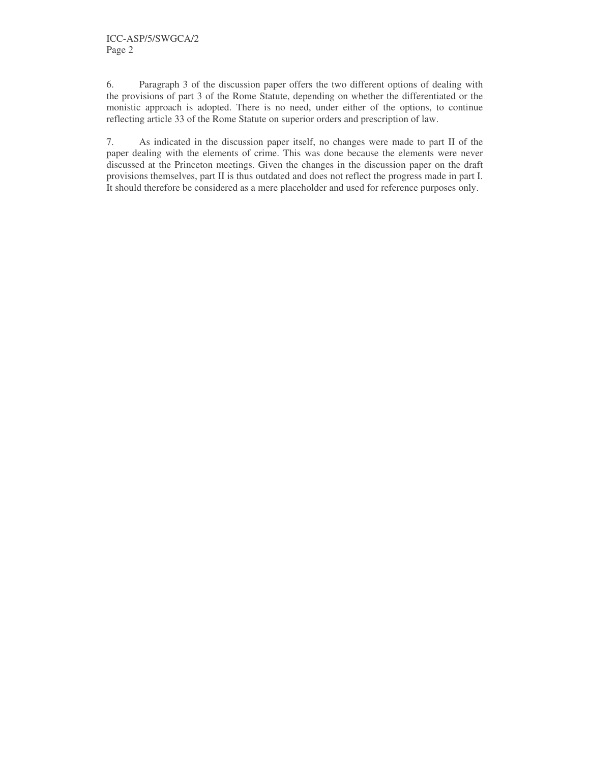6. Paragraph 3 of the discussion paper offers the two different options of dealing with the provisions of part 3 of the Rome Statute, depending on whether the differentiated or the monistic approach is adopted. There is no need, under either of the options, to continue reflecting article 33 of the Rome Statute on superior orders and prescription of law.

7. As indicated in the discussion paper itself, no changes were made to part II of the paper dealing with the elements of crime. This was done because the elements were never discussed at the Princeton meetings. Given the changes in the discussion paper on the draft provisions themselves, part II is thus outdated and does not reflect the progress made in part I. It should therefore be considered as a mere placeholder and used for reference purposes only.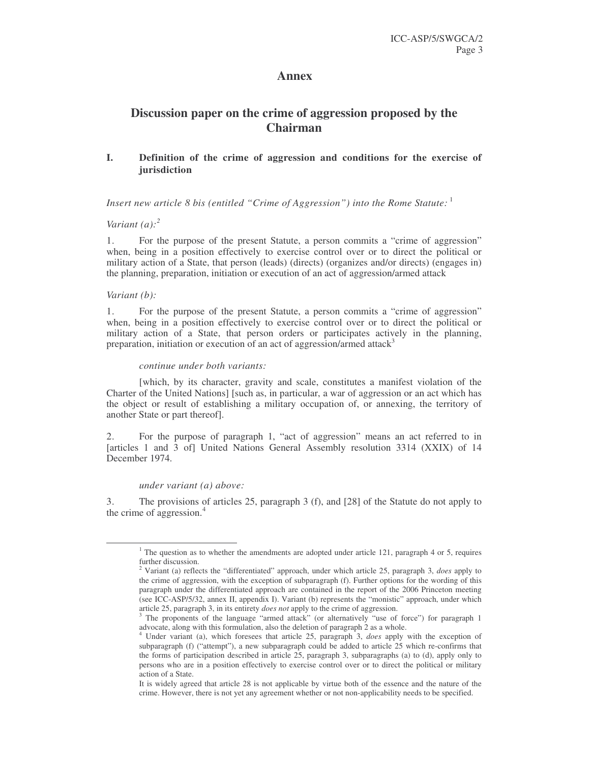### **Annex**

## **Discussion paper on the crime of aggression proposed by the Chairman**

#### **I. Definition of the crime of aggression and conditions for the exercise of jurisdiction**

#### *Insert new article 8 bis (entitled "Crime of Aggression") into the Rome Statute:* 1

### *Variant (a): 2*

1. For the purpose of the present Statute, a person commits a "crime of aggression" when, being in a position effectively to exercise control over or to direct the political or military action of a State, that person (leads) (directs) (organizes and/or directs) (engages in) the planning, preparation, initiation or execution of an act of aggression/armed attack

#### *Variant (b):*

1. For the purpose of the present Statute, a person commits a "crime of aggression" when, being in a position effectively to exercise control over or to direct the political or military action of a State, that person orders or participates actively in the planning, preparation, initiation or execution of an act of aggression/armed attack<sup>3</sup>

#### *continue under both variants:*

[which, by its character, gravity and scale, constitutes a manifest violation of the Charter of the United Nations] [such as, in particular, a war of aggression or an act which has the object or result of establishing a military occupation of, or annexing, the territory of another State or part thereof].

2. For the purpose of paragraph 1, "act of aggression" means an act referred to in [articles 1 and 3 of] United Nations General Assembly resolution 3314 (XXIX) of 14 December 1974.

#### *under variant (a) above:*

3. The provisions of articles 25, paragraph 3 (f), and [28] of the Statute do not apply to the crime of aggression. 4

<sup>&</sup>lt;sup>1</sup> The question as to whether the amendments are adopted under article 121, paragraph 4 or 5, requires further discussion.

<sup>2</sup> Variant (a) reflects the "differentiated" approach, under which article 25, paragraph 3, *does* apply to the crime of aggression, with the exception of subparagraph (f). Further options for the wording of this paragraph under the differentiated approach are contained in the report of the 2006 Princeton meeting (see ICC-ASP/5/32, annex II, appendix I). Variant (b) represents the "monistic" approach, under which article 25, paragraph 3, in its entirety *does not* apply to the crime of aggression.

<sup>&</sup>lt;sup>3</sup> The proponents of the language "armed attack" (or alternatively "use of force") for paragraph 1 advocate, along with this formulation, also the deletion of paragraph 2 as a whole.

<sup>4</sup> Under variant (a), which foresees that article 25, paragraph 3, *does* apply with the exception of subparagraph (f) ("attempt"), a new subparagraph could be added to article 25 which re-confirms that the forms of participation described in article 25, paragraph 3, subparagraphs (a) to (d), apply only to persons who are in a position effectively to exercise control over or to direct the political or military action of a State.

It is widely agreed that article 28 is not applicable by virtue both of the essence and the nature of the crime. However, there is not yet any agreement whether or not non-applicability needs to be specified.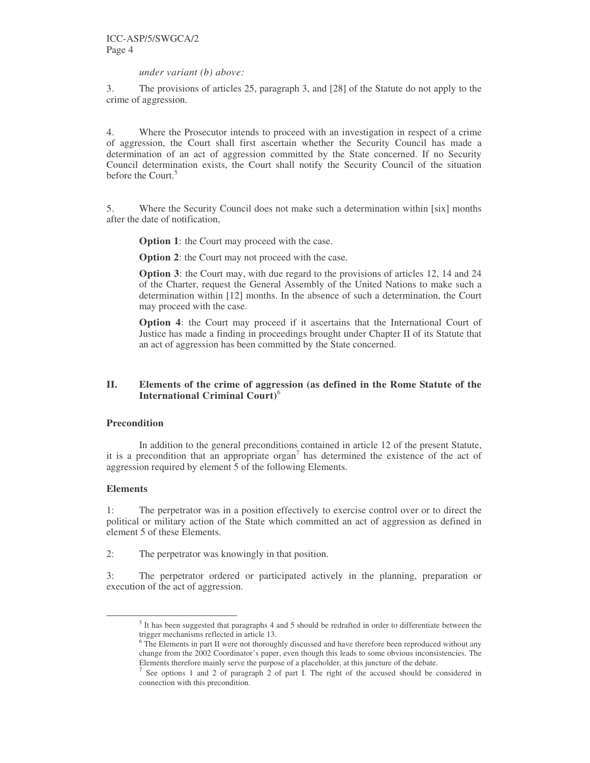*under variant (b) above:*

3. The provisions of articles 25, paragraph 3, and [28] of the Statute do not apply to the crime of aggression.

4. Where the Prosecutor intends to proceed with an investigation in respect of a crime of aggression, the Court shall first ascertain whether the Security Council has made a determination of an act of aggression committed by the State concerned. If no Security Council determination exists, the Court shall notify the Security Council of the situation before the Court. 5

5. Where the Security Council does not make such a determination within [six] months after the date of notification,

**Option 1**: the Court may proceed with the case.

**Option 2:** the Court may not proceed with the case.

**Option 3**: the Court may, with due regard to the provisions of articles 12, 14 and 24 of the Charter, request the General Assembly of the United Nations to make such a determination within [12] months. In the absence of such a determination, the Court may proceed with the case.

**Option 4**: the Court may proceed if it ascertains that the International Court of Justice has made a finding in proceedings brought under Chapter II of its Statute that an act of aggression has been committed by the State concerned.

#### **II. Elements of the crime of aggression (as defined in the Rome Statute of the International Criminal Court)** 6

#### **Precondition**

In addition to the general preconditions contained in article 12 of the present Statute, it is a precondition that an appropriate organ<sup>7</sup> has determined the existence of the act of aggression required by element 5 of the following Elements.

#### **Elements**

1: The perpetrator was in a position effectively to exercise control over or to direct the political or military action of the State which committed an act of aggression as defined in element 5 of these Elements.

2: The perpetrator was knowingly in that position.

3: The perpetrator ordered or participated actively in the planning, preparation or execution of the act of aggression.

<sup>&</sup>lt;sup>5</sup> It has been suggested that paragraphs 4 and 5 should be redrafted in order to differentiate between the trigger mechanisms reflected in article 13.

<sup>&</sup>lt;sup>6</sup> The Elements in part II were not thoroughly discussed and have therefore been reproduced without any change from the 2002 Coordinator's paper, even though this leads to some obvious inconsistencies. The Elements therefore mainly serve the purpose of a placeholder, at this juncture of the debate.

<sup>&</sup>lt;sup>7</sup> See options 1 and 2 of paragraph 2 of part I. The right of the accused should be considered in connection with this precondition.